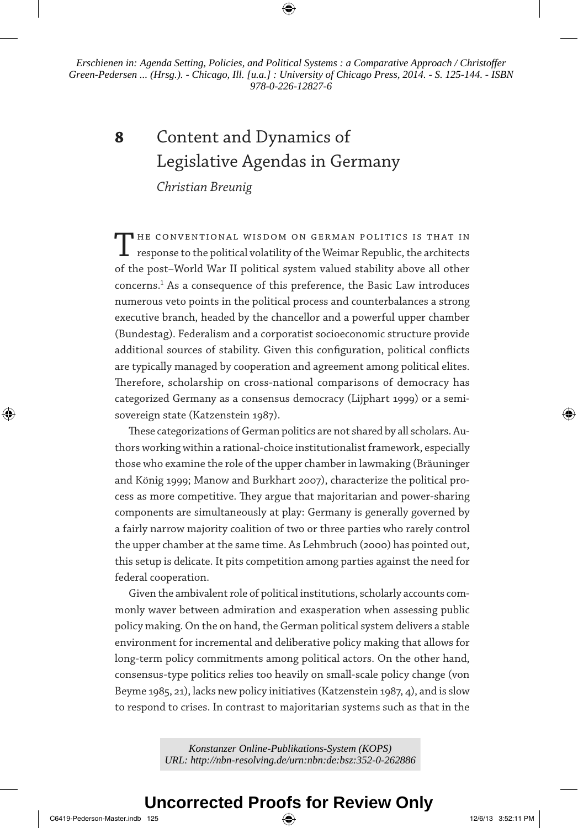*Erschienen in: Agenda Setting, Policies, and Political Systems : a Comparative Approach / Christoffer Green-Pedersen ... (Hrsg.). - Chicago, Ill. [u.a.] : University of Chicago Press, 2014. - S. 125-144. - ISBN 978-0-226-12827-6*

# **8** Content and Dynamics of Legislative Agendas in Germany

*Christian Breunig*

THE CONVENTIONAL WISDOM ON GERMAN POLITICS IS THAT IN response to the political volatility of the Weimar Republic, the architects of the post–World War II political system valued stability above all other  $concerns<sup>1</sup>$  As a consequence of this preference, the Basic Law introduces numerous veto points in the political process and counterbalances a strong executive branch, headed by the chancellor and a powerful upper chamber (Bundestag). Federalism and a corporatist socioeconomic structure provide additional sources of stability. Given this configuration, political conflicts are typically managed by cooperation and agreement among political elites. Therefore, scholarship on cross-national comparisons of democracy has categorized Germany as a consensus democracy (Lijphart 1999) or a semisovereign state (Katzenstein 1987).

These categorizations of German politics are not shared by all scholars. Authors working within a rational-choice institutionalist framework, especially those who examine the role of the upper chamber in lawmaking (Bräuninger and König 1999; Manow and Burkhart 2007), characterize the political process as more competitive. They argue that majoritarian and power-sharing components are simultaneously at play: Germany is generally governed by a fairly narrow majority coalition of two or three parties who rarely control the upper chamber at the same time. As Lehmbruch (2000) has pointed out, this setup is delicate. It pits competition among parties against the need for federal cooperation.

Given the ambivalent role of political institutions, scholarly accounts commonly waver between admiration and exasperation when assessing public policy making. On the on hand, the German political system delivers a stable environment for incremental and deliberative policy making that allows for long-term policy commitments among political actors. On the other hand, consensus-type politics relies too heavily on small-scale policy change (von Beyme 1985, 21), lacks new policy initiatives (Katzenstein 1987, 4), and is slow to respond to crises. In contrast to majoritarian systems such as that in the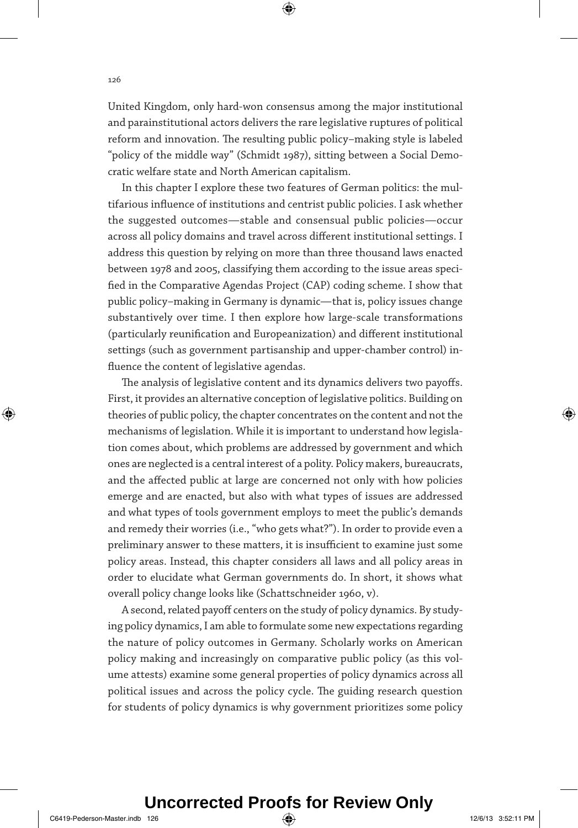United Kingdom, only hard-won consensus among the major institutional and parainstitutional actors delivers the rare legislative ruptures of political reform and innovation. The resulting public policy-making style is labeled "policy of the middle way" (Schmidt 1987), sitting between a Social Democratic welfare state and North American capitalism.

In this chapter I explore these two features of German politics: the multifarious influence of institutions and centrist public policies. I ask whether the suggested outcomes—stable and consensual public policies—occur across all policy domains and travel across different institutional settings. I address this question by relying on more than three thousand laws enacted between 1978 and 2005, classifying them according to the issue areas specified in the Comparative Agendas Project (CAP) coding scheme. I show that public policy–making in Germany is dynamic—that is, policy issues change substantively over time. I then explore how large-scale transformations (particularly reunification and Europeanization) and different institutional settings (such as government partisanship and upper-chamber control) influence the content of legislative agendas.

The analysis of legislative content and its dynamics delivers two payoffs. First, it provides an alternative conception of legislative politics. Building on theories of public policy, the chapter concentrates on the content and not the mechanisms of legislation. While it is important to understand how legislation comes about, which problems are addressed by government and which ones are neglected is a central interest of a polity. Policy makers, bureaucrats, and the affected public at large are concerned not only with how policies emerge and are enacted, but also with what types of issues are addressed and what types of tools government employs to meet the public's demands and remedy their worries (i.e., "who gets what?"). In order to provide even a preliminary answer to these matters, it is insufficient to examine just some policy areas. Instead, this chapter considers all laws and all policy areas in order to elucidate what German governments do. In short, it shows what overall policy change looks like (Schattschneider 1960, v).

A second, related payoff centers on the study of policy dynamics. By studying policy dynamics, I am able to formulate some new expectations regarding the nature of policy outcomes in Germany. Scholarly works on American policy making and increasingly on comparative public policy (as this volume attests) examine some general properties of policy dynamics across all political issues and across the policy cycle. The guiding research question for students of policy dynamics is why government prioritizes some policy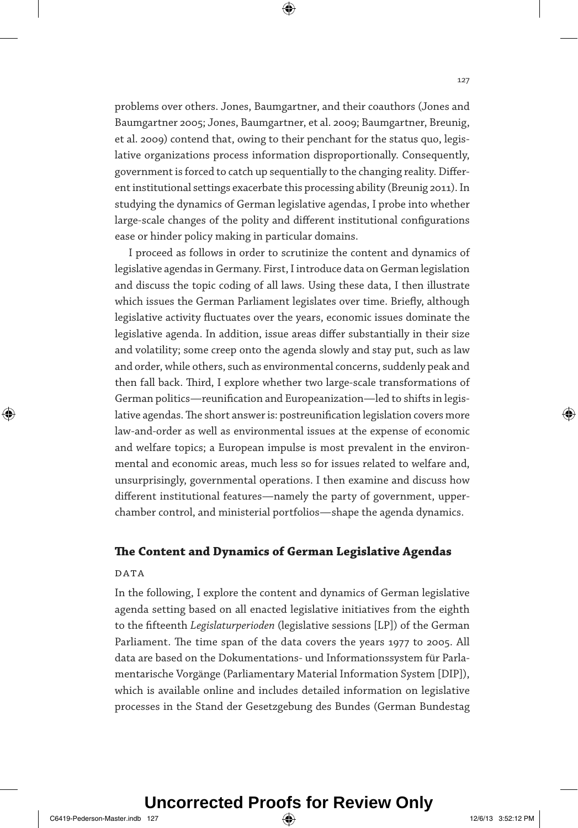problems over others. Jones, Baumgartner, and their coauthors (Jones and Baumgartner 2005; Jones, Baumgartner, et al. 2009; Baumgartner, Breunig, et al. 2009) contend that, owing to their penchant for the status quo, legislative organizations process information disproportionally. Consequently, government is forced to catch up sequentially to the changing reality. Different institutional settings exacerbate this processing ability (Breunig 2011). In studying the dynamics of German legislative agendas, I probe into whether large-scale changes of the polity and different institutional configurations ease or hinder policy making in particular domains.

I proceed as follows in order to scrutinize the content and dynamics of legislative agendas in Germany. First, I introduce data on German legislation and discuss the topic coding of all laws. Using these data, I then illustrate which issues the German Parliament legislates over time. Briefly, although legislative activity fluctuates over the years, economic issues dominate the legislative agenda. In addition, issue areas differ substantially in their size and volatility; some creep onto the agenda slowly and stay put, such as law and order, while others, such as environmental concerns, suddenly peak and then fall back. Third, I explore whether two large-scale transformations of German politics—reunification and Europeanization—led to shifts in legislative agendas. The short answer is: postreunification legislation covers more law-and-order as well as environmental issues at the expense of economic and welfare topics; a European impulse is most prevalent in the environmental and economic areas, much less so for issues related to welfare and, unsurprisingly, governmental operations. I then examine and discuss how different institutional features—namely the party of government, upperchamber control, and ministerial portfolios—shape the agenda dynamics.

## **The Content and Dynamics of German Legislative Agendas**

#### **DATA**

In the following, I explore the content and dynamics of German legislative agenda setting based on all enacted legislative initiatives from the eighth to the fifteenth *Legislaturperioden* (legislative sessions [LP]) of the German Parliament. The time span of the data covers the years 1977 to 2005. All data are based on the Dokumentations- und Informationssystem für Parlamentarische Vorgänge (Parliamentary Material Information System [DIP]), which is available online and includes detailed information on legislative processes in the Stand der Gesetzgebung des Bundes (German Bundestag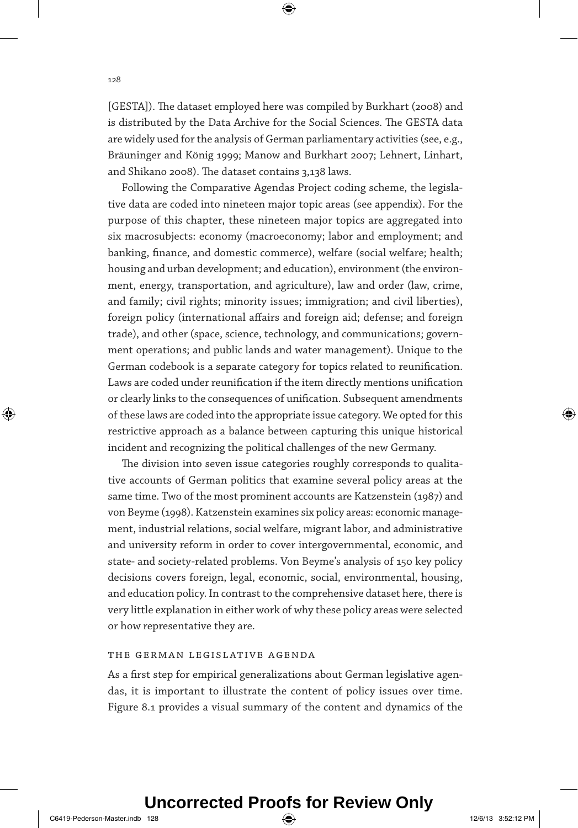[GESTA]). The dataset employed here was compiled by Burkhart (2008) and is distributed by the Data Archive for the Social Sciences. The GESTA data are widely used for the analysis of German parliamentary activities (see, e.g., Bräuninger and König 1999; Manow and Burkhart 2007; Lehnert, Linhart, and Shikano 2008). The dataset contains 3,138 laws.

Following the Comparative Agendas Project coding scheme, the legislative data are coded into nineteen major topic areas (see appendix). For the purpose of this chapter, these nineteen major topics are aggregated into six macrosubjects: economy (macroeconomy; labor and employment; and banking, finance, and domestic commerce), welfare (social welfare; health; housing and urban development; and education), environment (the environment, energy, transportation, and agriculture), law and order (law, crime, and family; civil rights; minority issues; immigration; and civil liberties), foreign policy (international affairs and foreign aid; defense; and foreign trade), and other (space, science, technology, and communications; government operations; and public lands and water management). Unique to the German codebook is a separate category for topics related to reunification. Laws are coded under reunification if the item directly mentions unification or clearly links to the consequences of unification. Subsequent amendments of these laws are coded into the appropriate issue category. We opted for this restrictive approach as a balance between capturing this unique historical incident and recognizing the political challenges of the new Germany.

The division into seven issue categories roughly corresponds to qualitative accounts of German politics that examine several policy areas at the same time. Two of the most prominent accounts are Katzenstein (1987) and von Beyme (1998). Katzenstein examines six policy areas: economic management, industrial relations, social welfare, migrant labor, and administrative and university reform in order to cover intergovernmental, economic, and state- and society-related problems. Von Beyme's analysis of 150 key policy decisions covers foreign, legal, economic, social, environmental, housing, and education policy. In contrast to the comprehensive dataset here, there is very little explanation in either work of why these policy areas were selected or how representative they are.

#### the german legislative agenda

As a first step for empirical generalizations about German legislative agendas, it is important to illustrate the content of policy issues over time. Figure 8.1 provides a visual summary of the content and dynamics of the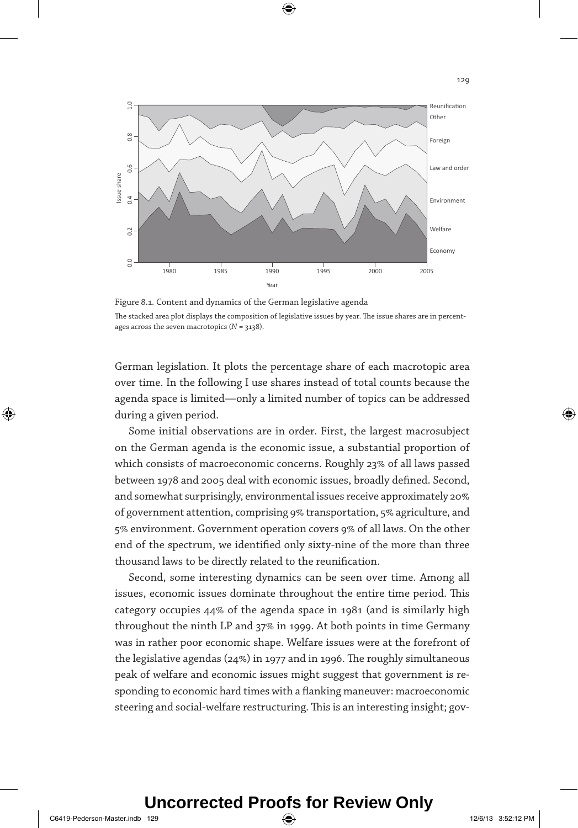

Figure 8.1. Content and dynamics of the German legislative agenda The stacked area plot displays the composition of legislative issues by year. The issue shares are in percentages across the seven macrotopics (*N* = 3138).

 German legislation. It plots the percentage share of each macrotopic area over time. In the following I use shares instead of total counts because the agenda space is limited—only a limited number of topics can be addressed during a given period.

Some initial observations are in order. First, the largest macrosubject on the German agenda is the economic issue, a substantial proportion of which consists of macroeconomic concerns. Roughly 23% of all laws passed between 1978 and 2005 deal with economic issues, broadly defined. Second, and somewhat surprisingly, environmental issues receive approximately 20 of government attention, comprising 9% transportation, 5% agriculture, and 5% environment. Government operation covers 9% of all laws. On the other end of the spectrum, we identified only sixty-nine of the more than three thousand laws to be directly related to the reunification.

Second, some interesting dynamics can be seen over time. Among all issues, economic issues dominate throughout the entire time period. This category occupies 44% of the agenda space in 1981 (and is similarly high throughout the ninth LP and 37% in 1999. At both points in time Germany was in rather poor economic shape. Welfare issues were at the forefront of the legislative agendas (24%) in 1977 and in 1996. The roughly simultaneous peak of welfare and economic issues might suggest that government is responding to economic hard times with a flanking maneuver: macroeconomic steering and social-welfare restructuring. This is an interesting insight; gov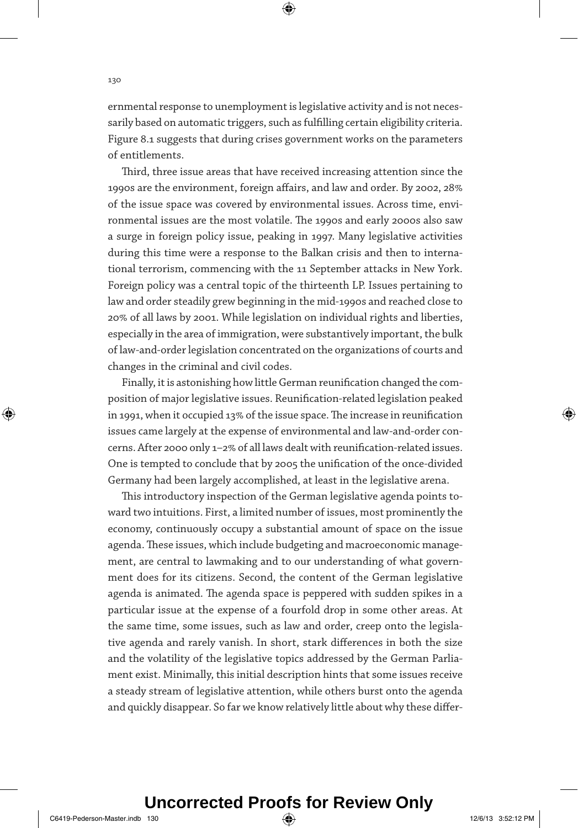ernmental response to unemployment is legislative activity and is not necessarily based on automatic triggers, such as fulfilling certain eligibility criteria. Figure 8.1 suggests that during crises government works on the parameters of entitlements.

Third, three issue areas that have received increasing attention since the 1990s are the environment, foreign affairs, and law and order. By 2002, 28% of the issue space was covered by environmental issues. Across time, environmental issues are the most volatile. The 1990s and early 2000s also saw a surge in foreign policy issue, peaking in 1997. Many legislative activities during this time were a response to the Balkan crisis and then to international terrorism, commencing with the 11 September attacks in New York. Foreign policy was a central topic of the thirteenth LP. Issues pertaining to law and order steadily grew beginning in the mid-1990s and reached close to 20 of all laws by 2001. While legislation on individual rights and liberties, especially in the area of immigration, were substantively important, the bulk of law-and-order legislation concentrated on the organizations of courts and changes in the criminal and civil codes.

Finally, it is astonishing how little German reunification changed the composition of major legislative issues. Reunification-related legislation peaked in 1991, when it occupied 13% of the issue space. The increase in reunification issues came largely at the expense of environmental and law-and-order concerns. After 2000 only 1-2% of all laws dealt with reunification-related issues. One is tempted to conclude that by 2005 the unification of the once-divided Germany had been largely accomplished, at least in the legislative arena.

This introductory inspection of the German legislative agenda points toward two intuitions. First, a limited number of issues, most prominently the economy, continuously occupy a substantial amount of space on the issue agenda. These issues, which include budgeting and macroeconomic management, are central to lawmaking and to our understanding of what government does for its citizens. Second, the content of the German legislative agenda is animated. The agenda space is peppered with sudden spikes in a particular issue at the expense of a fourfold drop in some other areas. At the same time, some issues, such as law and order, creep onto the legislative agenda and rarely vanish. In short, stark differences in both the size and the volatility of the legislative topics addressed by the German Parliament exist. Minimally, this initial description hints that some issues receive a steady stream of legislative attention, while others burst onto the agenda and quickly disappear. So far we know relatively little about why these differ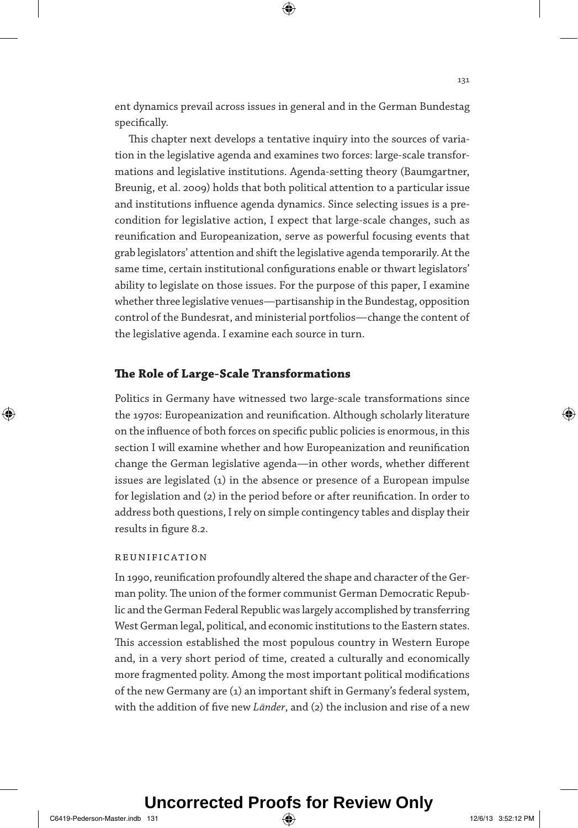ent dynamics prevail across issues in general and in the German Bundestag specifically.

This chapter next develops a tentative inquiry into the sources of variation in the legislative agenda and examines two forces: large-scale transformations and legislative institutions. Agenda-setting theory (Baumgartner, Breunig, et al. 2009) holds that both political attention to a particular issue and institutions influence agenda dynamics. Since selecting issues is a precondition for legislative action, I expect that large-scale changes, such as reunification and Europeanization, serve as powerful focusing events that grab legislators' attention and shift the legislative agenda temporarily. At the same time, certain institutional configurations enable or thwart legislators' ability to legislate on those issues. For the purpose of this paper, I examine whether three legislative venues—partisanship in the Bundestag, opposition control of the Bundesrat, and ministerial portfolios—change the content of the legislative agenda. I examine each source in turn.

# **The Role of Large-Scale Transformations**

Politics in Germany have witnessed two large-scale transformations since the 1970s: Europeanization and reunification. Although scholarly literature on the influence of both forces on specific public policies is enormous, in this section I will examine whether and how Europeanization and reunification change the German legislative agenda—in other words, whether different issues are legislated (1) in the absence or presence of a European impulse for legislation and (2) in the period before or after reunification. In order to address both questions, I rely on simple contingency tables and display their results in figure 8.2.

#### reunification

In 1990, reunification profoundly altered the shape and character of the German polity. The union of the former communist German Democratic Republic and the German Federal Republic was largely accomplished by transferring West German legal, political, and economic institutions to the Eastern states. This accession established the most populous country in Western Europe and, in a very short period of time, created a culturally and economically more fragmented polity. Among the most important political modifications of the new Germany are (1) an important shift in Germany's federal system, with the addition of five new *Länder*, and (2) the inclusion and rise of a new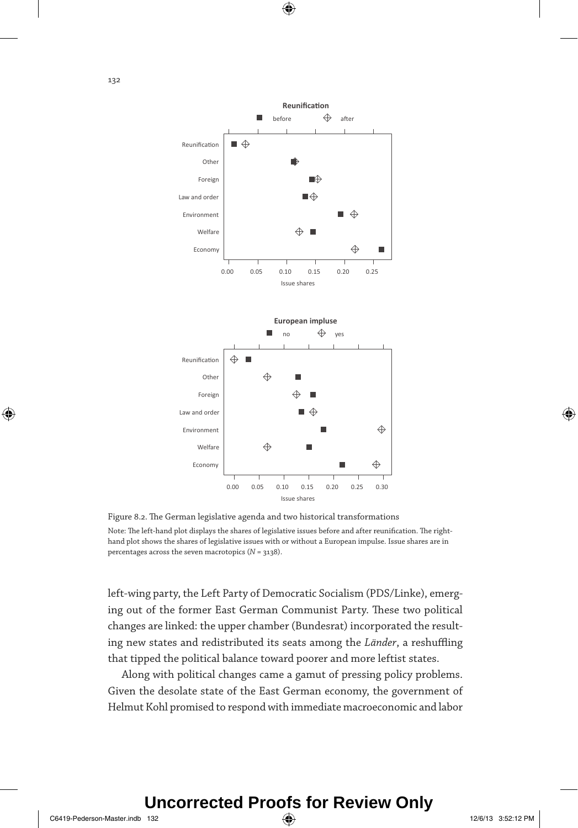

Figure 8.2. The German legislative agenda and two historical transformations Note: The left-hand plot displays the shares of legislative issues before and after reunification. The righthand plot shows the shares of legislative issues with or without a European impulse. Issue shares are in percentages across the seven macrotopics (*N* = 3138).

left-wing party, the Left Party of Democratic Socialism (PDS/Linke), emerging out of the former East German Communist Party. These two political changes are linked: the upper chamber (Bundesrat) incorporated the resulting new states and redistributed its seats among the *Länder*, a reshuffling that tipped the political balance toward poorer and more leftist states.

Along with political changes came a gamut of pressing policy problems. Given the desolate state of the East German economy, the government of Helmut Kohl promised to respond with immediate macroeconomic and labor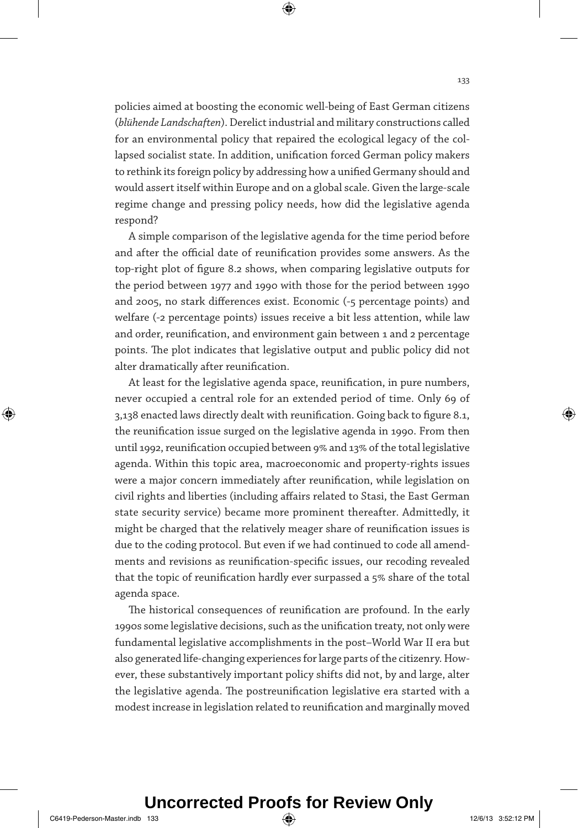policies aimed at boosting the economic well-being of East German citizens (*blühende Landschaften*). Derelict industrial and military constructions called for an environmental policy that repaired the ecological legacy of the collapsed socialist state. In addition, unification forced German policy makers to rethink its foreign policy by addressing how a unified Germany should and would assert itself within Europe and on a global scale. Given the large-scale regime change and pressing policy needs, how did the legislative agenda respond?

A simple comparison of the legislative agenda for the time period before and after the official date of reunification provides some answers. As the top-right plot of figure 8.2 shows, when comparing legislative outputs for the period between 1977 and 1990 with those for the period between 1990 and 2005, no stark differences exist. Economic (-5 percentage points) and welfare (-2 percentage points) issues receive a bit less attention, while law and order, reunification, and environment gain between 1 and 2 percentage points. The plot indicates that legislative output and public policy did not alter dramatically after reunification.

At least for the legislative agenda space, reunification, in pure numbers, never occupied a central role for an extended period of time. Only 69 of 3,138 enacted laws directly dealt with reunification. Going back to figure 8.1, the reunification issue surged on the legislative agenda in 1990. From then until 1992, reunification occupied between 9% and 13% of the total legislative agenda. Within this topic area, macroeconomic and property-rights issues were a major concern immediately after reunification, while legislation on civil rights and liberties (including affairs related to Stasi, the East German state security service) became more prominent thereafter. Admittedly, it might be charged that the relatively meager share of reunification issues is due to the coding protocol. But even if we had continued to code all amendments and revisions as reunification-specific issues, our recoding revealed that the topic of reunification hardly ever surpassed a 5% share of the total agenda space.

The historical consequences of reunification are profound. In the early 1990s some legislative decisions, such as the unification treaty, not only were fundamental legislative accomplishments in the post–World War II era but also generated life-changing experiences for large parts of the citizenry. However, these substantively important policy shifts did not, by and large, alter the legislative agenda. The postreunification legislative era started with a modest increase in legislation related to reunification and marginally moved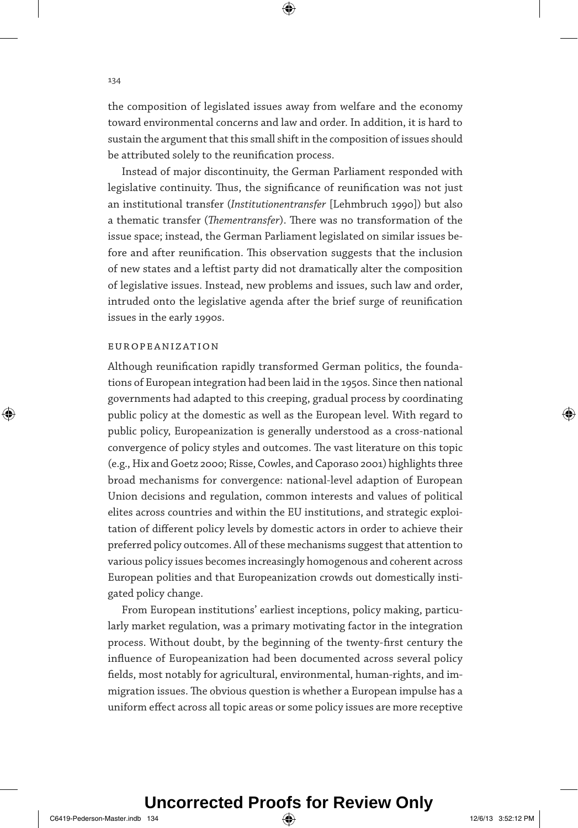the composition of legislated issues away from welfare and the economy toward environmental concerns and law and order. In addition, it is hard to sustain the argument that this small shift in the composition of issues should be attributed solely to the reunification process.

Instead of major discontinuity, the German Parliament responded with legislative continuity. Thus, the significance of reunification was not just an institutional transfer (*Institutionentransfer* [Lehmbruch 1990]) but also a thematic transfer (*Thementransfer*). There was no transformation of the issue space; instead, the German Parliament legislated on similar issues before and after reunification. This observation suggests that the inclusion of new states and a leftist party did not dramatically alter the composition of legislative issues. Instead, new problems and issues, such law and order, intruded onto the legislative agenda after the brief surge of reunification issues in the early 1990s.

#### europeanization

Although reunification rapidly transformed German politics, the foundations of European integration had been laid in the 1950s. Since then national governments had adapted to this creeping, gradual process by coordinating public policy at the domestic as well as the European level. With regard to public policy, Europeanization is generally understood as a cross-national convergence of policy styles and outcomes. The vast literature on this topic (e.g., Hix and Goetz 2000; Risse, Cowles, and Caporaso 2001) highlights three broad mechanisms for convergence: national-level adaption of European Union decisions and regulation, common interests and values of political elites across countries and within the EU institutions, and strategic exploitation of different policy levels by domestic actors in order to achieve their preferred policy outcomes. All of these mechanisms suggest that attention to various policy issues becomes increasingly homogenous and coherent across European polities and that Europeanization crowds out domestically instigated policy change.

From European institutions' earliest inceptions, policy making, particularly market regulation, was a primary motivating factor in the integration process. Without doubt, by the beginning of the twenty-first century the influence of Europeanization had been documented across several policy fields, most notably for agricultural, environmental, human-rights, and immigration issues. The obvious question is whether a European impulse has a uniform effect across all topic areas or some policy issues are more receptive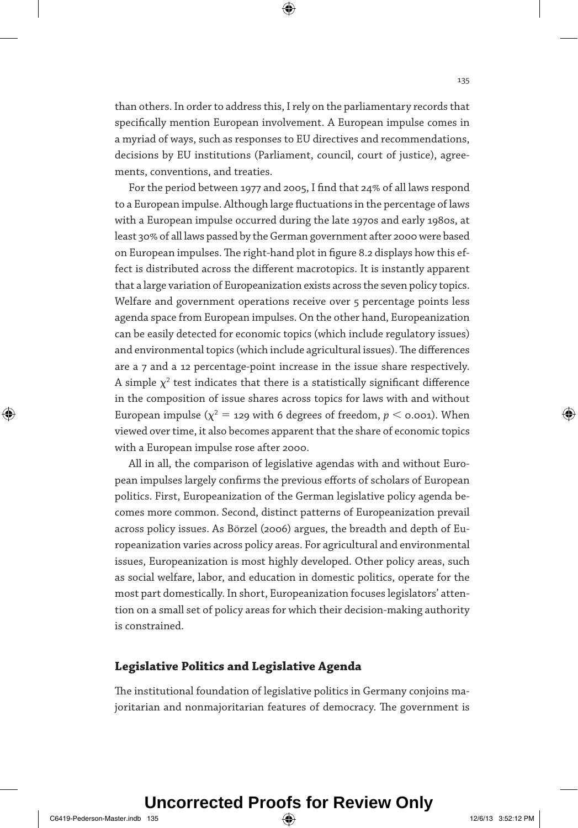than others. In order to address this, I rely on the parliamentary records that specifically mention European involvement. A European impulse comes in a myriad of ways, such as responses to EU directives and recommendations, decisions by EU institutions (Parliament, council, court of justice), agreements, conventions, and treaties.

For the period between 1977 and 2005, I find that 24% of all laws respond to a European impulse. Although large fluctuations in the percentage of laws with a European impulse occurred during the late 1970s and early 1980s, at least 30% of all laws passed by the German government after 2000 were based on European impulses. The right-hand plot in figure 8.2 displays how this effect is distributed across the different macrotopics. It is instantly apparent that a large variation of Europeanization exists across the seven policy topics. Welfare and government operations receive over 5 percentage points less agenda space from European impulses. On the other hand, Europeanization can be easily detected for economic topics (which include regulatory issues) and environmental topics (which include agricultural issues). The differences are a 7 and a 12 percentage-point increase in the issue share respectively. A simple  $\chi^2$  test indicates that there is a statistically significant difference in the composition of issue shares across topics for laws with and without European impulse ( $\chi^2$  = 129 with 6 degrees of freedom,  $p$  < 0.001). When viewed over time, it also becomes apparent that the share of economic topics with a European impulse rose after 2000.

All in all, the comparison of legislative agendas with and without European impulses largely confirms the previous efforts of scholars of European politics. First, Europeanization of the German legislative policy agenda becomes more common. Second, distinct patterns of Europeanization prevail across policy issues. As Börzel (2006) argues, the breadth and depth of Europeanization varies across policy areas. For agricultural and environmental issues, Europeanization is most highly developed. Other policy areas, such as social welfare, labor, and education in domestic politics, operate for the most part domestically. In short, Europeanization focuses legislators' attention on a small set of policy areas for which their decision-making authority is constrained.

## **Legislative Politics and Legislative Agenda**

The institutional foundation of legislative politics in Germany conjoins majoritarian and nonmajoritarian features of democracy. The government is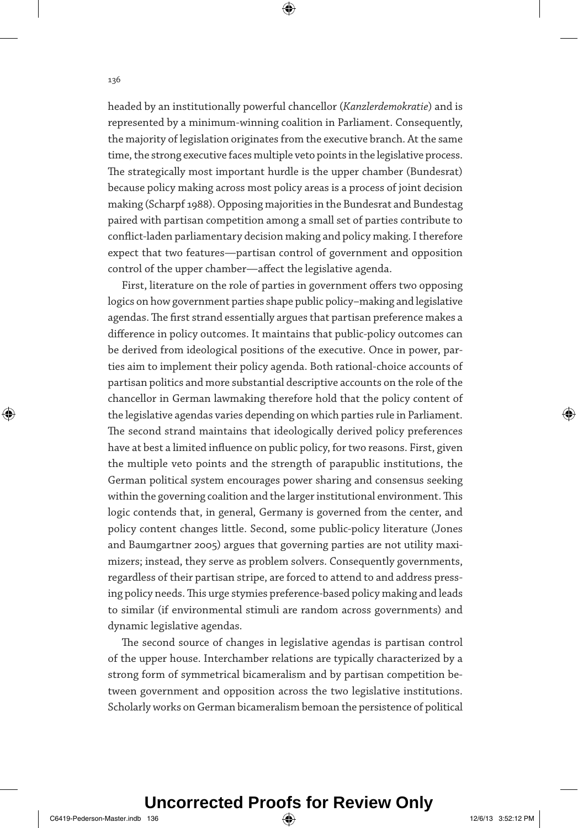headed by an institutionally powerful chancellor (*Kanzlerdemokratie*) and is represented by a minimum-winning coalition in Parliament. Consequently, the majority of legislation originates from the executive branch. At the same time, the strong executive faces multiple veto points in the legislative process. The strategically most important hurdle is the upper chamber (Bundesrat) because policy making across most policy areas is a process of joint decision making (Scharpf 1988). Opposing majorities in the Bundesrat and Bundestag paired with partisan competition among a small set of parties contribute to conflict-laden parliamentary decision making and policy making. I therefore expect that two features—partisan control of government and opposition control of the upper chamber—affect the legislative agenda.

First, literature on the role of parties in government offers two opposing logics on how government parties shape public policy–making and legislative agendas. The first strand essentially argues that partisan preference makes a difference in policy outcomes. It maintains that public-policy outcomes can be derived from ideological positions of the executive. Once in power, parties aim to implement their policy agenda. Both rational-choice accounts of partisan politics and more substantial descriptive accounts on the role of the chancellor in German lawmaking therefore hold that the policy content of the legislative agendas varies depending on which parties rule in Parliament. The second strand maintains that ideologically derived policy preferences have at best a limited influence on public policy, for two reasons. First, given the multiple veto points and the strength of parapublic institutions, the German political system encourages power sharing and consensus seeking within the governing coalition and the larger institutional environment. This logic contends that, in general, Germany is governed from the center, and policy content changes little. Second, some public-policy literature (Jones and Baumgartner 2005) argues that governing parties are not utility maximizers; instead, they serve as problem solvers. Consequently governments, regardless of their partisan stripe, are forced to attend to and address pressing policy needs. This urge stymies preference-based policy making and leads to similar (if environmental stimuli are random across governments) and dynamic legislative agendas.

The second source of changes in legislative agendas is partisan control of the upper house. Interchamber relations are typically characterized by a strong form of symmetrical bicameralism and by partisan competition between government and opposition across the two legislative institutions. Scholarly works on German bicameralism bemoan the persistence of political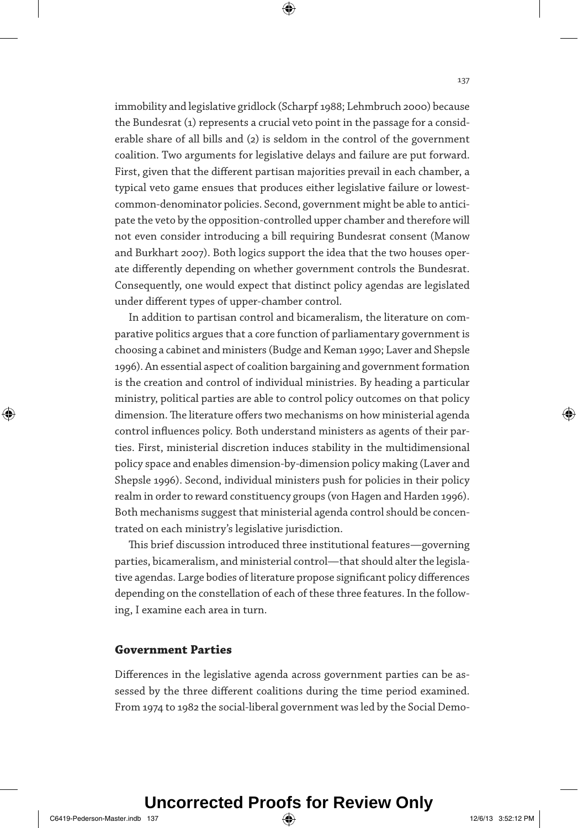immobility and legislative gridlock (Scharpf 1988; Lehmbruch 2000) because the Bundesrat (1) represents a crucial veto point in the passage for a considerable share of all bills and (2) is seldom in the control of the government coalition. Two arguments for legislative delays and failure are put forward. First, given that the different partisan majorities prevail in each chamber, a typical veto game ensues that produces either legislative failure or lowestcommon-denominator policies. Second, government might be able to anticipate the veto by the opposition-controlled upper chamber and therefore will not even consider introducing a bill requiring Bundesrat consent (Manow and Burkhart 2007). Both logics support the idea that the two houses operate differently depending on whether government controls the Bundesrat. Consequently, one would expect that distinct policy agendas are legislated under different types of upper-chamber control.

In addition to partisan control and bicameralism, the literature on comparative politics argues that a core function of parliamentary government is choosing a cabinet and ministers (Budge and Keman 1990; Laver and Shepsle 1996). An essential aspect of coalition bargaining and government formation is the creation and control of individual ministries. By heading a particular ministry, political parties are able to control policy outcomes on that policy dimension. The literature offers two mechanisms on how ministerial agenda control influences policy. Both understand ministers as agents of their parties. First, ministerial discretion induces stability in the multidimensional policy space and enables dimension-by-dimension policy making (Laver and Shepsle 1996). Second, individual ministers push for policies in their policy realm in order to reward constituency groups (von Hagen and Harden 1996). Both mechanisms suggest that ministerial agenda control should be concentrated on each ministry's legislative jurisdiction.

This brief discussion introduced three institutional features—governing parties, bicameralism, and ministerial control—that should alter the legislative agendas. Large bodies of literature propose significant policy differences depending on the constellation of each of these three features. In the following, I examine each area in turn.

#### **Government Parties**

Differences in the legislative agenda across government parties can be assessed by the three different coalitions during the time period examined. From 1974 to 1982 the social-liberal government was led by the Social Demo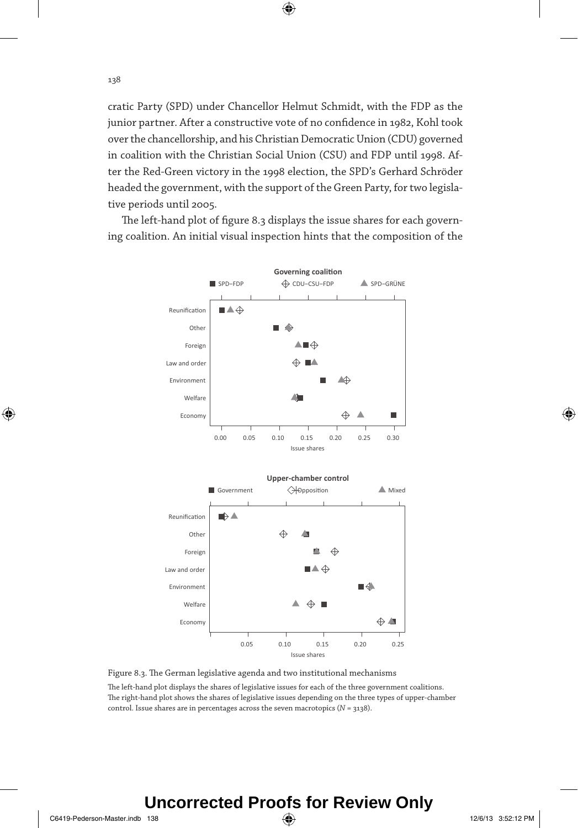cratic Party (SPD) under Chancellor Helmut Schmidt, with the FDP as the junior partner. After a constructive vote of no confidence in 1982, Kohl took over the chancellorship, and his Christian Democratic Union (CDU) governed in coalition with the Christian Social Union (CSU) and FDP until 1998. After the Red-Green victory in the 1998 election, the SPD's Gerhard Schröder headed the government, with the support of the Green Party, for two legislative periods until 2005.

The left-hand plot of figure 8.3 displays the issue shares for each governing coalition. An initial visual inspection hints that the composition of the



Figure 8.3. The German legislative agenda and two institutional mechanisms

The left-hand plot displays the shares of legislative issues for each of the three government coalitions. The right-hand plot shows the shares of legislative issues depending on the three types of upper-chamber control. Issue shares are in percentages across the seven macrotopics (*N* = 3138).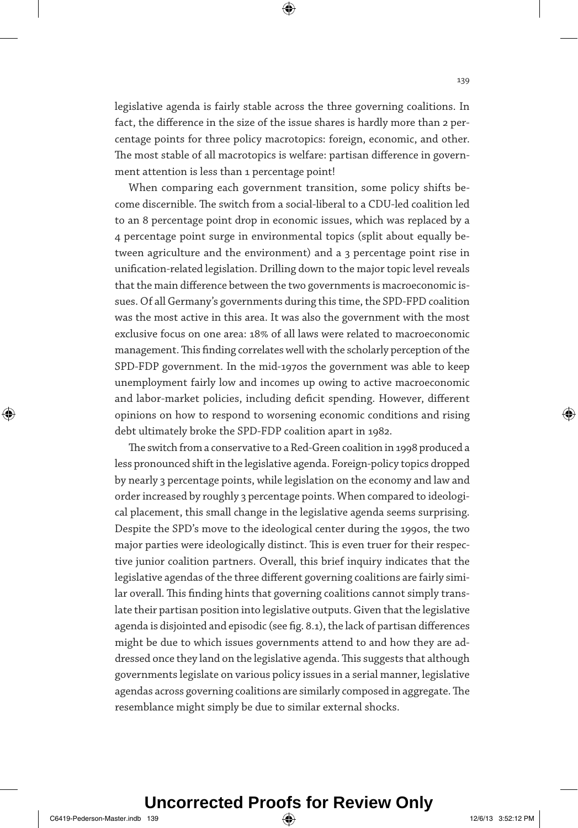legislative agenda is fairly stable across the three governing coalitions. In fact, the difference in the size of the issue shares is hardly more than 2 percentage points for three policy macrotopics: foreign, economic, and other. The most stable of all macrotopics is welfare: partisan difference in government attention is less than 1 percentage point!

When comparing each government transition, some policy shifts become discernible. The switch from a social-liberal to a CDU-led coalition led to an 8 percentage point drop in economic issues, which was replaced by a 4 percentage point surge in environmental topics (split about equally between agriculture and the environment) and a 3 percentage point rise in unification-related legislation. Drilling down to the major topic level reveals that the main difference between the two governments is macroeconomic issues. Of all Germany's governments during this time, the SPD-FPD coalition was the most active in this area. It was also the government with the most exclusive focus on one area: 18% of all laws were related to macroeconomic management. This finding correlates well with the scholarly perception of the SPD-FDP government. In the mid-1970s the government was able to keep unemployment fairly low and incomes up owing to active macroeconomic and labor-market policies, including deficit spending. However, different opinions on how to respond to worsening economic conditions and rising debt ultimately broke the SPD-FDP coalition apart in 1982.

The switch from a conservative to a Red-Green coalition in 1998 produced a less pronounced shift in the legislative agenda. Foreign-policy topics dropped by nearly 3 percentage points, while legislation on the economy and law and order increased by roughly 3 percentage points. When compared to ideological placement, this small change in the legislative agenda seems surprising. Despite the SPD's move to the ideological center during the 1990s, the two major parties were ideologically distinct. This is even truer for their respective junior coalition partners. Overall, this brief inquiry indicates that the legislative agendas of the three different governing coalitions are fairly similar overall. This finding hints that governing coalitions cannot simply translate their partisan position into legislative outputs. Given that the legislative agenda is disjointed and episodic (see fig. 8.1), the lack of partisan differences might be due to which issues governments attend to and how they are addressed once they land on the legislative agenda. This suggests that although governments legislate on various policy issues in a serial manner, legislative agendas across governing coalitions are similarly composed in aggregate. The resemblance might simply be due to similar external shocks.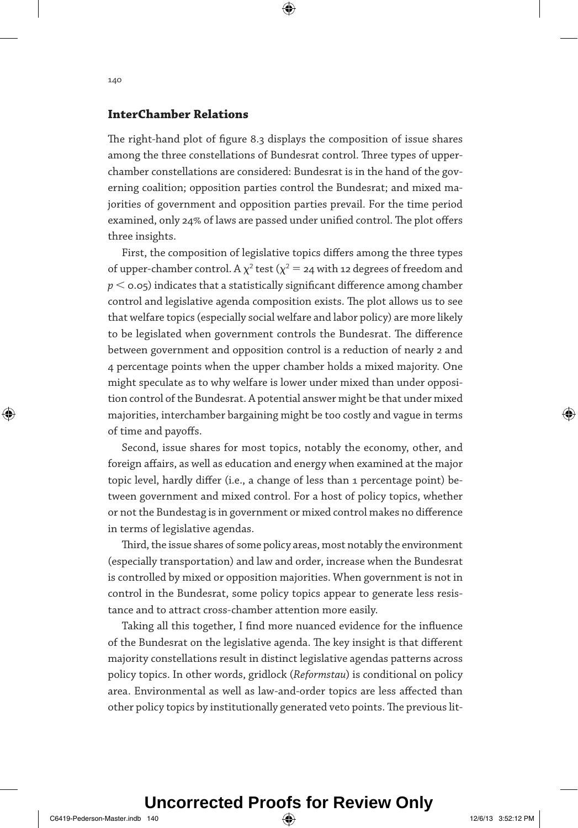## **InterChamber Relations**

The right-hand plot of figure 8.3 displays the composition of issue shares among the three constellations of Bundesrat control. Three types of upperchamber constellations are considered: Bundesrat is in the hand of the governing coalition; opposition parties control the Bundesrat; and mixed majorities of government and opposition parties prevail. For the time period examined, only 24% of laws are passed under unified control. The plot offers three insights.

First, the composition of legislative topics differs among the three types of upper-chamber control. A  $\chi^2$  test ( $\chi^2$  = 24 with 12 degrees of freedom and  $p <$  0.05) indicates that a statistically significant difference among chamber control and legislative agenda composition exists. The plot allows us to see that welfare topics (especially social welfare and labor policy) are more likely to be legislated when government controls the Bundesrat. The difference between government and opposition control is a reduction of nearly 2 and 4 percentage points when the upper chamber holds a mixed majority. One might speculate as to why welfare is lower under mixed than under opposition control of the Bundesrat. A potential answer might be that under mixed majorities, interchamber bargaining might be too costly and vague in terms of time and payoffs.

Second, issue shares for most topics, notably the economy, other, and foreign affairs, as well as education and energy when examined at the major topic level, hardly differ (i.e., a change of less than 1 percentage point) between government and mixed control. For a host of policy topics, whether or not the Bundestag is in government or mixed control makes no difference in terms of legislative agendas.

Third, the issue shares of some policy areas, most notably the environment (especially transportation) and law and order, increase when the Bundesrat is controlled by mixed or opposition majorities. When government is not in control in the Bundesrat, some policy topics appear to generate less resistance and to attract cross-chamber attention more easily.

Taking all this together, I find more nuanced evidence for the influence of the Bundesrat on the legislative agenda. The key insight is that different majority constellations result in distinct legislative agendas patterns across policy topics. In other words, gridlock (*Reformstau*) is conditional on policy area. Environmental as well as law-and-order topics are less affected than other policy topics by institutionally generated veto points. The previous lit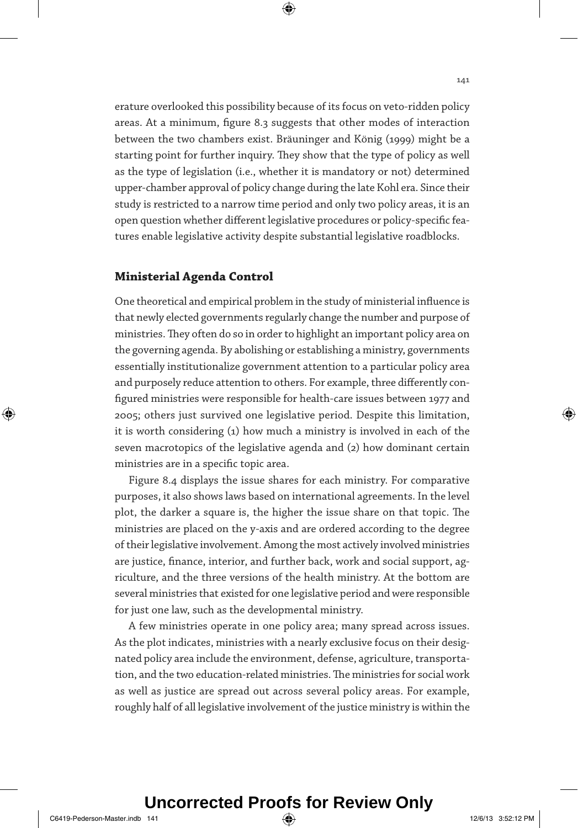erature overlooked this possibility because of its focus on veto-ridden policy areas. At a minimum, figure 8.3 suggests that other modes of interaction between the two chambers exist. Bräuninger and König (1999) might be a starting point for further inquiry. They show that the type of policy as well as the type of legislation (i.e., whether it is mandatory or not) determined upper-chamber approval of policy change during the late Kohl era. Since their study is restricted to a narrow time period and only two policy areas, it is an open question whether different legislative procedures or policy-specific features enable legislative activity despite substantial legislative roadblocks.

## **Ministerial Agenda Control**

One theoretical and empirical problem in the study of ministerial influence is that newly elected governments regularly change the number and purpose of ministries. They often do so in order to highlight an important policy area on the governing agenda. By abolishing or establishing a ministry, governments essentially institutionalize government attention to a particular policy area and purposely reduce attention to others. For example, three differently configured ministries were responsible for health-care issues between 1977 and 2005; others just survived one legislative period. Despite this limitation, it is worth considering (1) how much a ministry is involved in each of the seven macrotopics of the legislative agenda and (2) how dominant certain ministries are in a specific topic area.

Figure 8.4 displays the issue shares for each ministry. For comparative purposes, it also shows laws based on international agreements. In the level plot, the darker a square is, the higher the issue share on that topic. The ministries are placed on the y-axis and are ordered according to the degree of their legislative involvement. Among the most actively involved ministries are justice, finance, interior, and further back, work and social support, agriculture, and the three versions of the health ministry. At the bottom are several ministries that existed for one legislative period and were responsible for just one law, such as the developmental ministry.

A few ministries operate in one policy area; many spread across issues. As the plot indicates, ministries with a nearly exclusive focus on their designated policy area include the environment, defense, agriculture, transportation, and the two education-related ministries. The ministries for social work as well as justice are spread out across several policy areas. For example, roughly half of all legislative involvement of the justice ministry is within the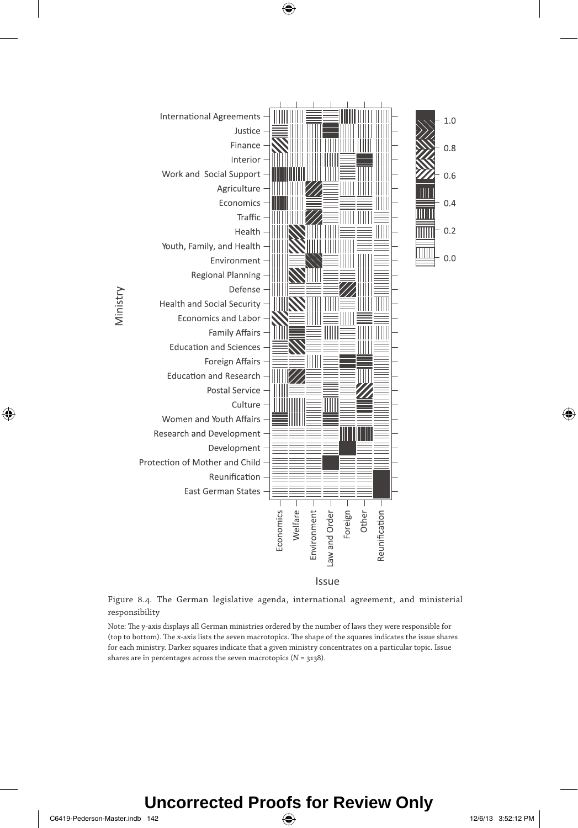

Ministry

Issue

Figure 8.4. The German legislative agenda, international agreement, and ministerial responsibility

Note: The y-axis displays all German ministries ordered by the number of laws they were responsible for (top to bottom). The x-axis lists the seven macrotopics. The shape of the squares indicates the issue shares for each ministry. Darker squares indicate that a given ministry concentrates on a particular topic. Issue shares are in percentages across the seven macrotopics (*N* = 3138).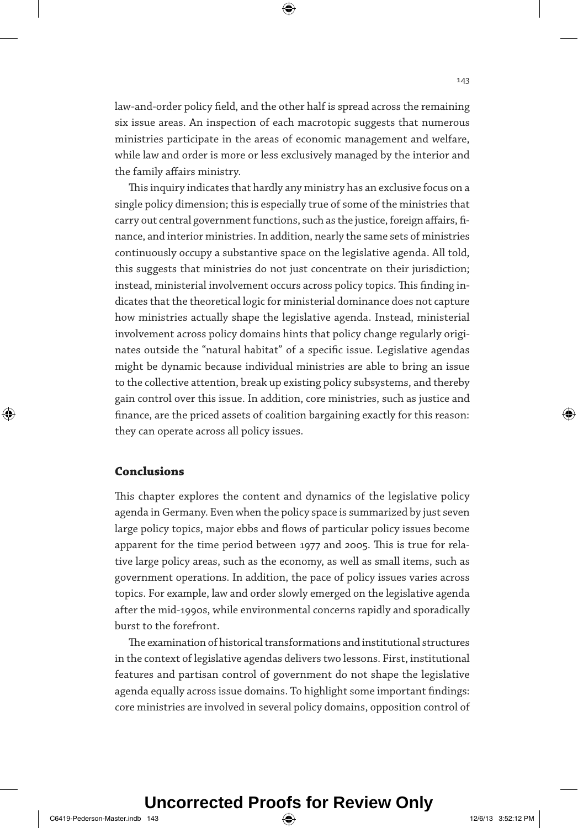law-and-order policy field, and the other half is spread across the remaining six issue areas. An inspection of each macrotopic suggests that numerous ministries participate in the areas of economic management and welfare, while law and order is more or less exclusively managed by the interior and the family affairs ministry.

This inquiry indicates that hardly any ministry has an exclusive focus on a single policy dimension; this is especially true of some of the ministries that carry out central government functions, such as the justice, foreign affairs, finance, and interior ministries. In addition, nearly the same sets of ministries continuously occupy a substantive space on the legislative agenda. All told, this suggests that ministries do not just concentrate on their jurisdiction; instead, ministerial involvement occurs across policy topics. This finding indicates that the theoretical logic for ministerial dominance does not capture how ministries actually shape the legislative agenda. Instead, ministerial involvement across policy domains hints that policy change regularly originates outside the "natural habitat" of a specific issue. Legislative agendas might be dynamic because individual ministries are able to bring an issue to the collective attention, break up existing policy subsystems, and thereby gain control over this issue. In addition, core ministries, such as justice and finance, are the priced assets of coalition bargaining exactly for this reason: they can operate across all policy issues.

## **Conclusions**

This chapter explores the content and dynamics of the legislative policy agenda in Germany. Even when the policy space is summarized by just seven large policy topics, major ebbs and flows of particular policy issues become apparent for the time period between 1977 and 2005. This is true for relative large policy areas, such as the economy, as well as small items, such as government operations. In addition, the pace of policy issues varies across topics. For example, law and order slowly emerged on the legislative agenda after the mid-1990s, while environmental concerns rapidly and sporadically burst to the forefront.

The examination of historical transformations and institutional structures in the context of legislative agendas delivers two lessons. First, institutional features and partisan control of government do not shape the legislative agenda equally across issue domains. To highlight some important findings: core ministries are involved in several policy domains, opposition control of